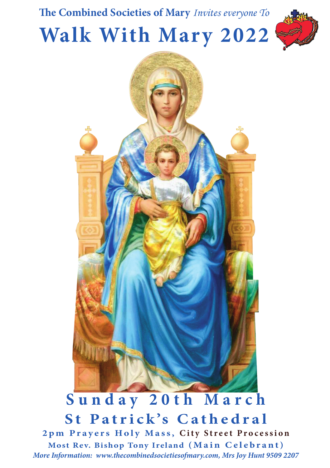





*More Information: www.thecombinedsocietiesofmary.com, Mrs Joy Hunt 9509 2207* Sunday 20th March **St Patrick's Cathedral 2pm Prayers Holy Mass, City Street Procession Most Rev. Bishop Tony Ireland (Main Celebrant)**